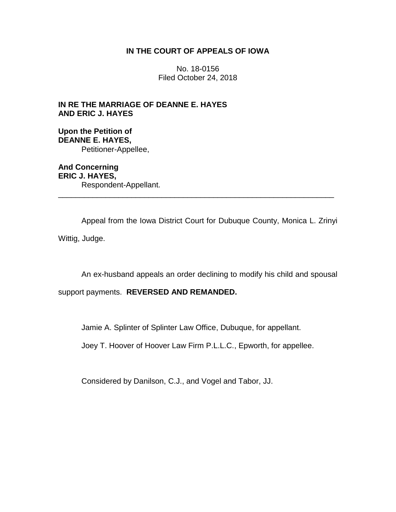# **IN THE COURT OF APPEALS OF IOWA**

No. 18-0156 Filed October 24, 2018

**IN RE THE MARRIAGE OF DEANNE E. HAYES AND ERIC J. HAYES**

**Upon the Petition of DEANNE E. HAYES,** Petitioner-Appellee,

**And Concerning ERIC J. HAYES,** Respondent-Appellant. \_\_\_\_\_\_\_\_\_\_\_\_\_\_\_\_\_\_\_\_\_\_\_\_\_\_\_\_\_\_\_\_\_\_\_\_\_\_\_\_\_\_\_\_\_\_\_\_\_\_\_\_\_\_\_\_\_\_\_\_\_\_\_\_

Appeal from the Iowa District Court for Dubuque County, Monica L. Zrinyi Wittig, Judge.

An ex-husband appeals an order declining to modify his child and spousal

support payments. **REVERSED AND REMANDED.** 

Jamie A. Splinter of Splinter Law Office, Dubuque, for appellant.

Joey T. Hoover of Hoover Law Firm P.L.L.C., Epworth, for appellee.

Considered by Danilson, C.J., and Vogel and Tabor, JJ.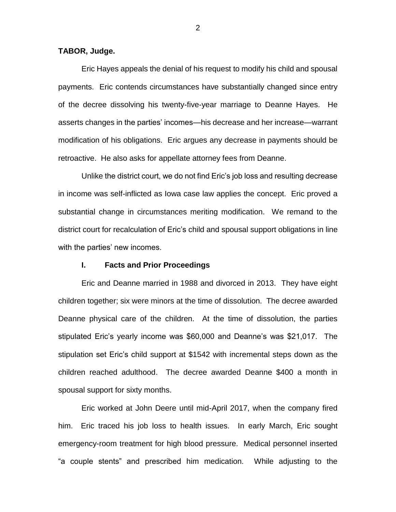# **TABOR, Judge.**

Eric Hayes appeals the denial of his request to modify his child and spousal payments. Eric contends circumstances have substantially changed since entry of the decree dissolving his twenty-five-year marriage to Deanne Hayes. He asserts changes in the parties' incomes—his decrease and her increase—warrant modification of his obligations. Eric argues any decrease in payments should be retroactive. He also asks for appellate attorney fees from Deanne.

Unlike the district court, we do not find Eric's job loss and resulting decrease in income was self-inflicted as Iowa case law applies the concept. Eric proved a substantial change in circumstances meriting modification. We remand to the district court for recalculation of Eric's child and spousal support obligations in line with the parties' new incomes.

# **I. Facts and Prior Proceedings**

Eric and Deanne married in 1988 and divorced in 2013. They have eight children together; six were minors at the time of dissolution. The decree awarded Deanne physical care of the children. At the time of dissolution, the parties stipulated Eric's yearly income was \$60,000 and Deanne's was \$21,017. The stipulation set Eric's child support at \$1542 with incremental steps down as the children reached adulthood. The decree awarded Deanne \$400 a month in spousal support for sixty months.

Eric worked at John Deere until mid-April 2017, when the company fired him. Eric traced his job loss to health issues. In early March, Eric sought emergency-room treatment for high blood pressure. Medical personnel inserted "a couple stents" and prescribed him medication. While adjusting to the

2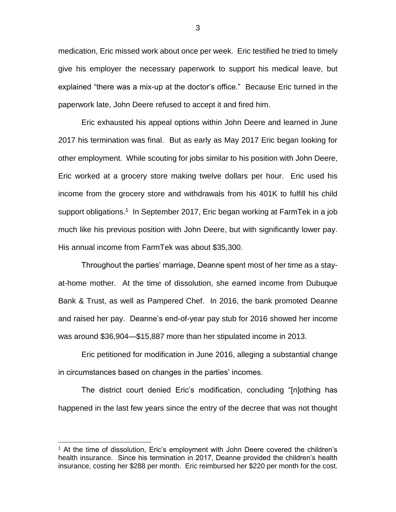medication, Eric missed work about once per week. Eric testified he tried to timely give his employer the necessary paperwork to support his medical leave, but explained "there was a mix-up at the doctor's office." Because Eric turned in the paperwork late, John Deere refused to accept it and fired him.

Eric exhausted his appeal options within John Deere and learned in June 2017 his termination was final. But as early as May 2017 Eric began looking for other employment. While scouting for jobs similar to his position with John Deere, Eric worked at a grocery store making twelve dollars per hour. Eric used his income from the grocery store and withdrawals from his 401K to fulfill his child support obligations.<sup>1</sup> In September 2017, Eric began working at FarmTek in a job much like his previous position with John Deere, but with significantly lower pay. His annual income from FarmTek was about \$35,300.

Throughout the parties' marriage, Deanne spent most of her time as a stayat-home mother. At the time of dissolution, she earned income from Dubuque Bank & Trust, as well as Pampered Chef. In 2016, the bank promoted Deanne and raised her pay. Deanne's end-of-year pay stub for 2016 showed her income was around \$36,904—\$15,887 more than her stipulated income in 2013.

Eric petitioned for modification in June 2016, alleging a substantial change in circumstances based on changes in the parties' incomes.

The district court denied Eric's modification, concluding "[n]othing has happened in the last few years since the entry of the decree that was not thought

 $\overline{a}$ 

<sup>&</sup>lt;sup>1</sup> At the time of dissolution, Eric's employment with John Deere covered the children's health insurance. Since his termination in 2017, Deanne provided the children's health insurance, costing her \$288 per month. Eric reimbursed her \$220 per month for the cost.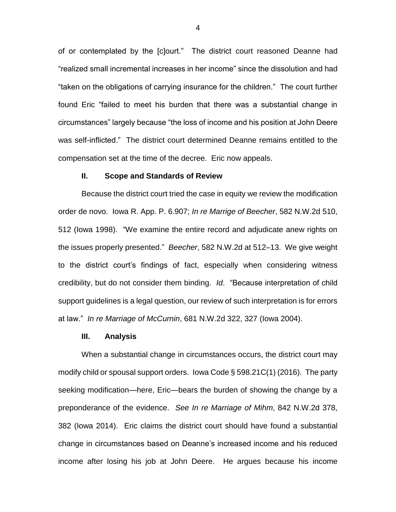of or contemplated by the [c]ourt." The district court reasoned Deanne had "realized small incremental increases in her income" since the dissolution and had "taken on the obligations of carrying insurance for the children." The court further found Eric "failed to meet his burden that there was a substantial change in circumstances" largely because "the loss of income and his position at John Deere was self-inflicted." The district court determined Deanne remains entitled to the compensation set at the time of the decree. Eric now appeals.

#### **II. Scope and Standards of Review**

Because the district court tried the case in equity we review the modification order de novo. Iowa R. App. P. 6.907; *In re Marrige of Beecher*, 582 N.W.2d 510, 512 (Iowa 1998). "We examine the entire record and adjudicate anew rights on the issues properly presented." *Beecher*, 582 N.W.2d at 512–13. We give weight to the district court's findings of fact, especially when considering witness credibility, but do not consider them binding. *Id*. "Because interpretation of child support guidelines is a legal question, our review of such interpretation is for errors at law." *In re Marriage of McCurnin*, 681 N.W.2d 322, 327 (Iowa 2004).

#### **III. Analysis**

When a substantial change in circumstances occurs, the district court may modify child or spousal support orders. Iowa Code § 598.21C(1) (2016). The party seeking modification—here, Eric—bears the burden of showing the change by a preponderance of the evidence. *See In re Marriage of Mihm*, 842 N.W.2d 378, 382 (Iowa 2014). Eric claims the district court should have found a substantial change in circumstances based on Deanne's increased income and his reduced income after losing his job at John Deere. He argues because his income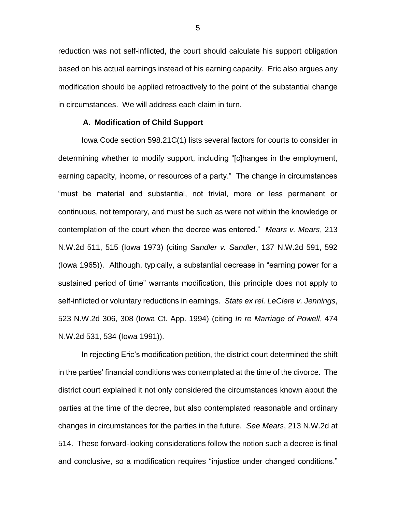reduction was not self-inflicted, the court should calculate his support obligation based on his actual earnings instead of his earning capacity. Eric also argues any modification should be applied retroactively to the point of the substantial change in circumstances. We will address each claim in turn.

### **A. Modification of Child Support**

Iowa Code section 598.21C(1) lists several factors for courts to consider in determining whether to modify support, including "[c]hanges in the employment, earning capacity, income, or resources of a party." The change in circumstances "must be material and substantial, not trivial, more or less permanent or continuous, not temporary, and must be such as were not within the knowledge or contemplation of the court when the decree was entered." *Mears v. Mears*, 213 N.W.2d 511, 515 (Iowa 1973) (citing *Sandler v. Sandler*, 137 N.W.2d 591, 592 (Iowa 1965)).Although, typically, a substantial decrease in "earning power for a sustained period of time" warrants modification, this principle does not apply to self-inflicted or voluntary reductions in earnings. *State ex rel. LeClere v. Jennings*, 523 N.W.2d 306, 308 (Iowa Ct. App. 1994) (citing *In re Marriage of Powell*, 474 N.W.2d 531, 534 (Iowa 1991)).

In rejecting Eric's modification petition, the district court determined the shift in the parties' financial conditions was contemplated at the time of the divorce. The district court explained it not only considered the circumstances known about the parties at the time of the decree, but also contemplated reasonable and ordinary changes in circumstances for the parties in the future. *See Mears*, 213 N.W.2d at 514. These forward-looking considerations follow the notion such a decree is final and conclusive, so a modification requires "injustice under changed conditions."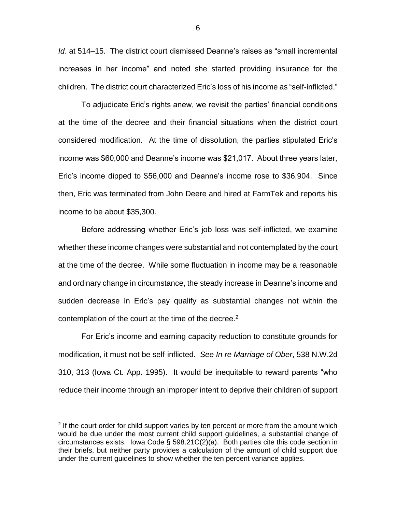*Id*. at 514–15. The district court dismissed Deanne's raises as "small incremental increases in her income" and noted she started providing insurance for the children. The district court characterized Eric's loss of his income as "self-inflicted."

To adjudicate Eric's rights anew, we revisit the parties' financial conditions at the time of the decree and their financial situations when the district court considered modification. At the time of dissolution, the parties stipulated Eric's income was \$60,000 and Deanne's income was \$21,017. About three years later, Eric's income dipped to \$56,000 and Deanne's income rose to \$36,904. Since then, Eric was terminated from John Deere and hired at FarmTek and reports his income to be about \$35,300.

Before addressing whether Eric's job loss was self-inflicted, we examine whether these income changes were substantial and not contemplated by the court at the time of the decree. While some fluctuation in income may be a reasonable and ordinary change in circumstance, the steady increase in Deanne's income and sudden decrease in Eric's pay qualify as substantial changes not within the contemplation of the court at the time of the decree.<sup>2</sup>

For Eric's income and earning capacity reduction to constitute grounds for modification, it must not be self-inflicted. *See In re Marriage of Ober*, 538 N.W.2d 310, 313 (Iowa Ct. App. 1995). It would be inequitable to reward parents "who reduce their income through an improper intent to deprive their children of support

 $\overline{a}$ 

 $2$  If the court order for child support varies by ten percent or more from the amount which would be due under the most current child support guidelines, a substantial change of circumstances exists. Iowa Code § 598.21C(2)(a). Both parties cite this code section in their briefs, but neither party provides a calculation of the amount of child support due under the current guidelines to show whether the ten percent variance applies.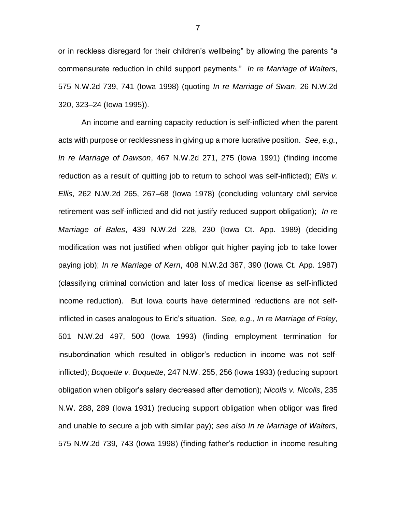or in reckless disregard for their children's wellbeing" by allowing the parents "a commensurate reduction in child support payments." *In re Marriage of Walters*, 575 N.W.2d 739, 741 (Iowa 1998) (quoting *In re Marriage of Swan*, 26 N.W.2d 320, 323–24 (Iowa 1995)).

An income and earning capacity reduction is self-inflicted when the parent acts with purpose or recklessness in giving up a more lucrative position. *See, e.g.*, *In re Marriage of Dawson*, 467 N.W.2d 271, 275 (Iowa 1991) (finding income reduction as a result of quitting job to return to school was self-inflicted); *Ellis v. Ellis*, 262 N.W.2d 265, 267–68 (Iowa 1978) (concluding voluntary civil service retirement was self-inflicted and did not justify reduced support obligation); *In re Marriage of Bales*, 439 N.W.2d 228, 230 (Iowa Ct. App. 1989) (deciding modification was not justified when obligor quit higher paying job to take lower paying job); *In re Marriage of Kern*, 408 N.W.2d 387, 390 (Iowa Ct. App. 1987) (classifying criminal conviction and later loss of medical license as self-inflicted income reduction). But Iowa courts have determined reductions are not selfinflicted in cases analogous to Eric's situation. *See, e.g.*, *In re Marriage of Foley*, 501 N.W.2d 497, 500 (Iowa 1993) (finding employment termination for insubordination which resulted in obligor's reduction in income was not selfinflicted); *Boquette v. Boquette*, 247 N.W. 255, 256 (Iowa 1933) (reducing support obligation when obligor's salary decreased after demotion); *Nicolls v. Nicolls*, 235 N.W. 288, 289 (Iowa 1931) (reducing support obligation when obligor was fired and unable to secure a job with similar pay); *see also In re Marriage of Walters*, 575 N.W.2d 739, 743 (Iowa 1998) (finding father's reduction in income resulting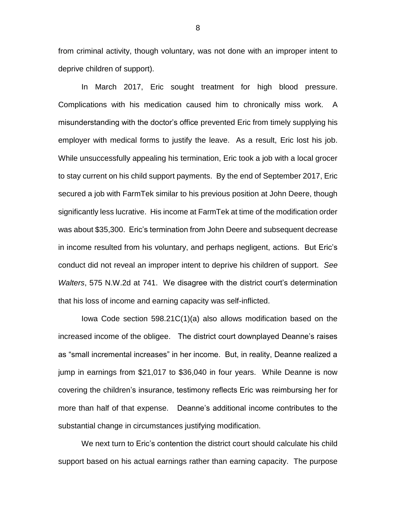from criminal activity, though voluntary, was not done with an improper intent to deprive children of support).

In March 2017, Eric sought treatment for high blood pressure. Complications with his medication caused him to chronically miss work. A misunderstanding with the doctor's office prevented Eric from timely supplying his employer with medical forms to justify the leave. As a result, Eric lost his job. While unsuccessfully appealing his termination, Eric took a job with a local grocer to stay current on his child support payments. By the end of September 2017, Eric secured a job with FarmTek similar to his previous position at John Deere, though significantly less lucrative. His income at FarmTek at time of the modification order was about \$35,300. Eric's termination from John Deere and subsequent decrease in income resulted from his voluntary, and perhaps negligent, actions. But Eric's conduct did not reveal an improper intent to deprive his children of support. *See Walters*, 575 N.W.2d at 741. We disagree with the district court's determination that his loss of income and earning capacity was self-inflicted.

Iowa Code section 598.21C(1)(a) also allows modification based on the increased income of the obligee. The district court downplayed Deanne's raises as "small incremental increases" in her income. But, in reality, Deanne realized a jump in earnings from \$21,017 to \$36,040 in four years. While Deanne is now covering the children's insurance, testimony reflects Eric was reimbursing her for more than half of that expense. Deanne's additional income contributes to the substantial change in circumstances justifying modification.

We next turn to Eric's contention the district court should calculate his child support based on his actual earnings rather than earning capacity. The purpose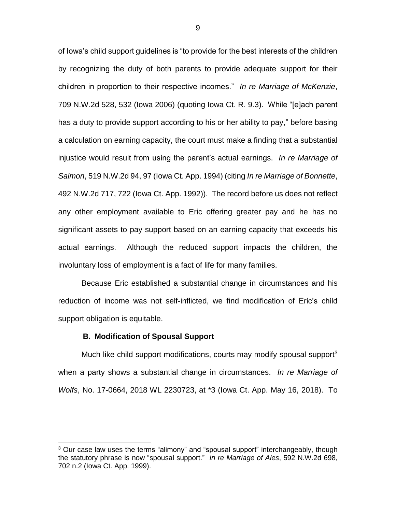of Iowa's child support guidelines is "to provide for the best interests of the children by recognizing the duty of both parents to provide adequate support for their children in proportion to their respective incomes." *In re Marriage of McKenzie*, 709 N.W.2d 528, 532 (Iowa 2006) (quoting Iowa Ct. R. 9.3). While "[e]ach parent has a duty to provide support according to his or her ability to pay," before basing a calculation on earning capacity, the court must make a finding that a substantial injustice would result from using the parent's actual earnings. *In re Marriage of Salmon*, 519 N.W.2d 94, 97 (Iowa Ct. App. 1994) (citing *In re Marriage of Bonnette*, 492 N.W.2d 717, 722 (Iowa Ct. App. 1992)). The record before us does not reflect any other employment available to Eric offering greater pay and he has no significant assets to pay support based on an earning capacity that exceeds his actual earnings. Although the reduced support impacts the children, the involuntary loss of employment is a fact of life for many families.

Because Eric established a substantial change in circumstances and his reduction of income was not self-inflicted, we find modification of Eric's child support obligation is equitable.

#### **B. Modification of Spousal Support**

 $\overline{a}$ 

Much like child support modifications, courts may modify spousal support<sup>3</sup> when a party shows a substantial change in circumstances. *In re Marriage of Wolfs*, No. 17-0664, 2018 WL 2230723, at \*3 (Iowa Ct. App. May 16, 2018). To

 $3$  Our case law uses the terms "alimony" and "spousal support" interchangeably, though the statutory phrase is now "spousal support." *In re Marriage of Ales*, 592 N.W.2d 698, 702 n.2 (Iowa Ct. App. 1999).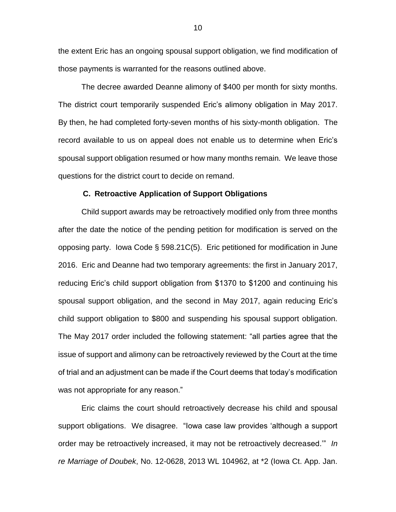the extent Eric has an ongoing spousal support obligation, we find modification of those payments is warranted for the reasons outlined above.

The decree awarded Deanne alimony of \$400 per month for sixty months. The district court temporarily suspended Eric's alimony obligation in May 2017. By then, he had completed forty-seven months of his sixty-month obligation. The record available to us on appeal does not enable us to determine when Eric's spousal support obligation resumed or how many months remain. We leave those questions for the district court to decide on remand.

#### **C. Retroactive Application of Support Obligations**

Child support awards may be retroactively modified only from three months after the date the notice of the pending petition for modification is served on the opposing party. Iowa Code § 598.21C(5). Eric petitioned for modification in June 2016. Eric and Deanne had two temporary agreements: the first in January 2017, reducing Eric's child support obligation from \$1370 to \$1200 and continuing his spousal support obligation, and the second in May 2017, again reducing Eric's child support obligation to \$800 and suspending his spousal support obligation. The May 2017 order included the following statement: "all parties agree that the issue of support and alimony can be retroactively reviewed by the Court at the time of trial and an adjustment can be made if the Court deems that today's modification was not appropriate for any reason."

Eric claims the court should retroactively decrease his child and spousal support obligations. We disagree. "Iowa case law provides 'although a support order may be retroactively increased, it may not be retroactively decreased.'" *In re Marriage of Doubek*, No. 12-0628, 2013 WL 104962, at \*2 (Iowa Ct. App. Jan.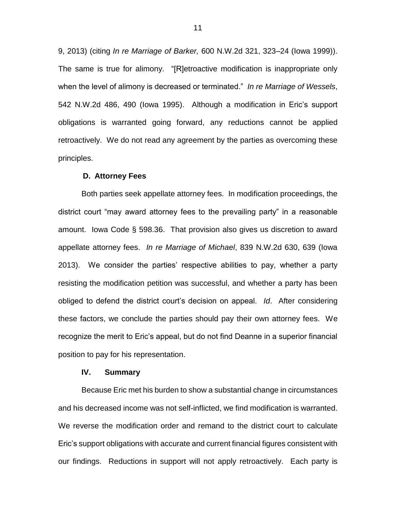9, 2013) (citing *In re Marriage of Barker,* 600 N.W.2d 321, 323–24 (Iowa 1999)). The same is true for alimony. "[R]etroactive modification is inappropriate only when the level of alimony is decreased or terminated." *In re Marriage of Wessels*, 542 N.W.2d 486, 490 (Iowa 1995). Although a modification in Eric's support obligations is warranted going forward, any reductions cannot be applied retroactively. We do not read any agreement by the parties as overcoming these principles.

#### **D. Attorney Fees**

Both parties seek appellate attorney fees. In modification proceedings, the district court "may award attorney fees to the prevailing party" in a reasonable amount. Iowa Code § 598.36. That provision also gives us discretion to award appellate attorney fees. *In re Marriage of Michael*, 839 N.W.2d 630, 639 (Iowa 2013). We consider the parties' respective abilities to pay, whether a party resisting the modification petition was successful, and whether a party has been obliged to defend the district court's decision on appeal. *Id*. After considering these factors, we conclude the parties should pay their own attorney fees. We recognize the merit to Eric's appeal, but do not find Deanne in a superior financial position to pay for his representation.

#### **IV. Summary**

Because Eric met his burden to show a substantial change in circumstances and his decreased income was not self-inflicted, we find modification is warranted. We reverse the modification order and remand to the district court to calculate Eric's support obligations with accurate and current financial figures consistent with our findings. Reductions in support will not apply retroactively. Each party is